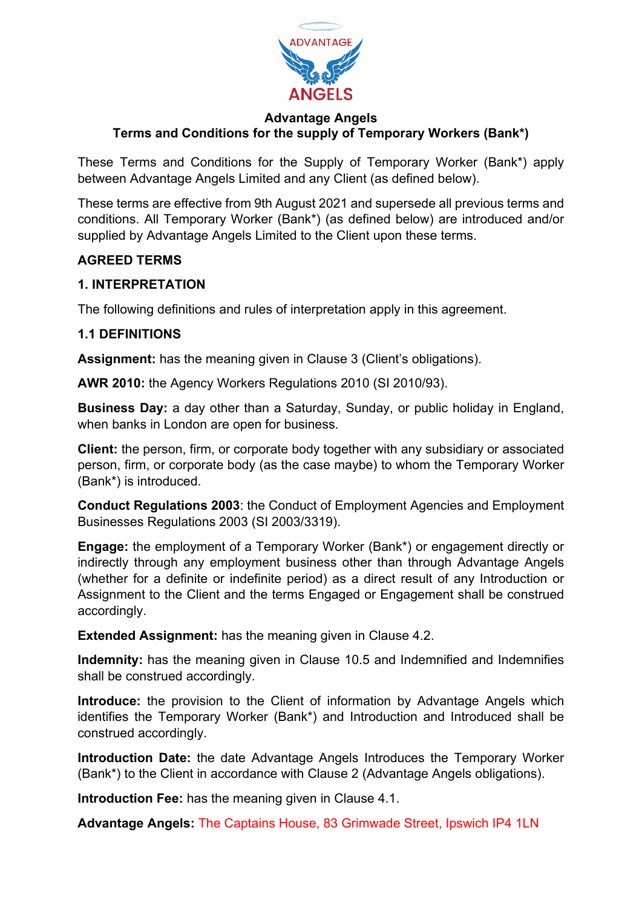

These Terms and Conditions for the Supply of Temporary Worker (Bank\*) apply between Advantage Angels Limited and any Client (as defined below).

These terms are effective from 9th August 2021 and supersede all previous terms and conditions. All Temporary Worker (Bank\*) (as defined below) are introduced and/or supplied by Advantage Angels Limited to the Client upon these terms.

# **AGREED TERMS**

### **1. INTERPRETATION**

The following definitions and rules of interpretation apply in this agreement.

### **1.1 DEFINITIONS**

**Assignment:** has the meaning given in Clause 3 (Client's obligations).

**AWR 2010:** the Agency Workers Regulations 2010 (SI 2010/93).

**Business Day:** a day other than a Saturday, Sunday, or public holiday in England, when banks in London are open for business.

**Client:** the person, firm, or corporate body together with any subsidiary or associated person, firm, or corporate body (as the case maybe) to whom the Temporary Worker (Bank\*) is introduced.

**Conduct Regulations 2003**: the Conduct of Employment Agencies and Employment Businesses Regulations 2003 (SI 2003/3319).

**Engage:** the employment of a Temporary Worker (Bank\*) or engagement directly or indirectly through any employment business other than through Advantage Angels (whether for a definite or indefinite period) as a direct result of any Introduction or Assignment to the Client and the terms Engaged or Engagement shall be construed accordingly.

**Extended Assignment:** has the meaning given in Clause 4.2.

**Indemnity:** has the meaning given in Clause 10.5 and Indemnified and Indemnifies shall be construed accordingly.

**Introduce:** the provision to the Client of information by Advantage Angels which identifies the Temporary Worker (Bank\*) and Introduction and Introduced shall be construed accordingly.

**Introduction Date:** the date Advantage Angels Introduces the Temporary Worker (Bank\*) to the Client in accordance with Clause 2 (Advantage Angels obligations).

**Introduction Fee:** has the meaning given in Clause 4.1.

**Advantage Angels:** The Captains House, 83 Grimwade Street, Ipswich IP4 1LN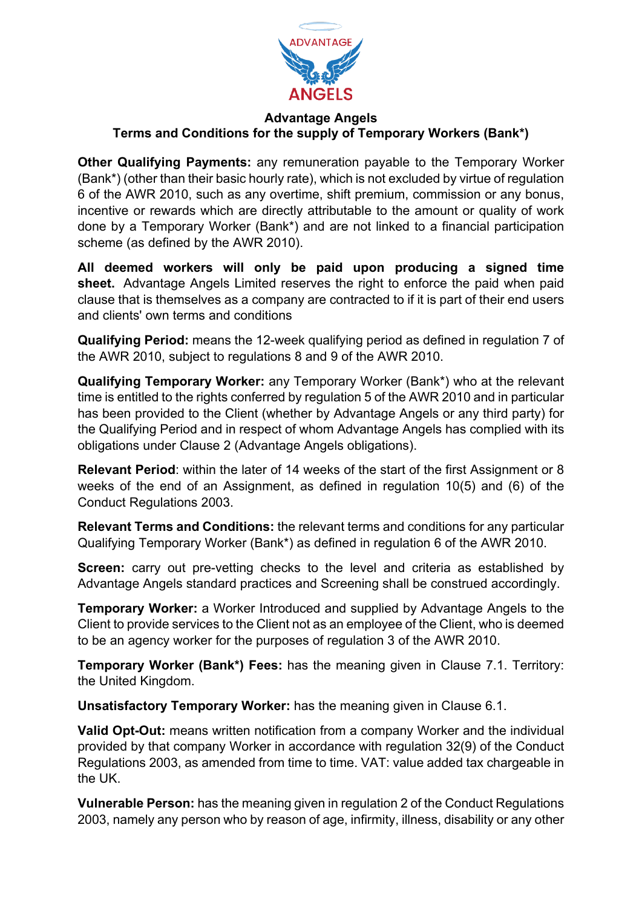

**Other Qualifying Payments:** any remuneration payable to the Temporary Worker (Bank\*) (other than their basic hourly rate), which is not excluded by virtue of regulation 6 of the AWR 2010, such as any overtime, shift premium, commission or any bonus, incentive or rewards which are directly attributable to the amount or quality of work done by a Temporary Worker (Bank\*) and are not linked to a financial participation scheme (as defined by the AWR 2010).

**All deemed workers will only be paid upon producing a signed time sheet.** Advantage Angels Limited reserves the right to enforce the paid when paid clause that is themselves as a company are contracted to if it is part of their end users and clients' own terms and conditions

**Qualifying Period:** means the 12-week qualifying period as defined in regulation 7 of the AWR 2010, subject to regulations 8 and 9 of the AWR 2010.

**Qualifying Temporary Worker:** any Temporary Worker (Bank\*) who at the relevant time is entitled to the rights conferred by regulation 5 of the AWR 2010 and in particular has been provided to the Client (whether by Advantage Angels or any third party) for the Qualifying Period and in respect of whom Advantage Angels has complied with its obligations under Clause 2 (Advantage Angels obligations).

**Relevant Period**: within the later of 14 weeks of the start of the first Assignment or 8 weeks of the end of an Assignment, as defined in regulation 10(5) and (6) of the Conduct Regulations 2003.

**Relevant Terms and Conditions:** the relevant terms and conditions for any particular Qualifying Temporary Worker (Bank\*) as defined in regulation 6 of the AWR 2010.

**Screen:** carry out pre-vetting checks to the level and criteria as established by Advantage Angels standard practices and Screening shall be construed accordingly.

**Temporary Worker:** a Worker Introduced and supplied by Advantage Angels to the Client to provide services to the Client not as an employee of the Client, who is deemed to be an agency worker for the purposes of regulation 3 of the AWR 2010.

**Temporary Worker (Bank\*) Fees:** has the meaning given in Clause 7.1. Territory: the United Kingdom.

**Unsatisfactory Temporary Worker:** has the meaning given in Clause 6.1.

**Valid Opt-Out:** means written notification from a company Worker and the individual provided by that company Worker in accordance with regulation 32(9) of the Conduct Regulations 2003, as amended from time to time. VAT: value added tax chargeable in the UK.

**Vulnerable Person:** has the meaning given in regulation 2 of the Conduct Regulations 2003, namely any person who by reason of age, infirmity, illness, disability or any other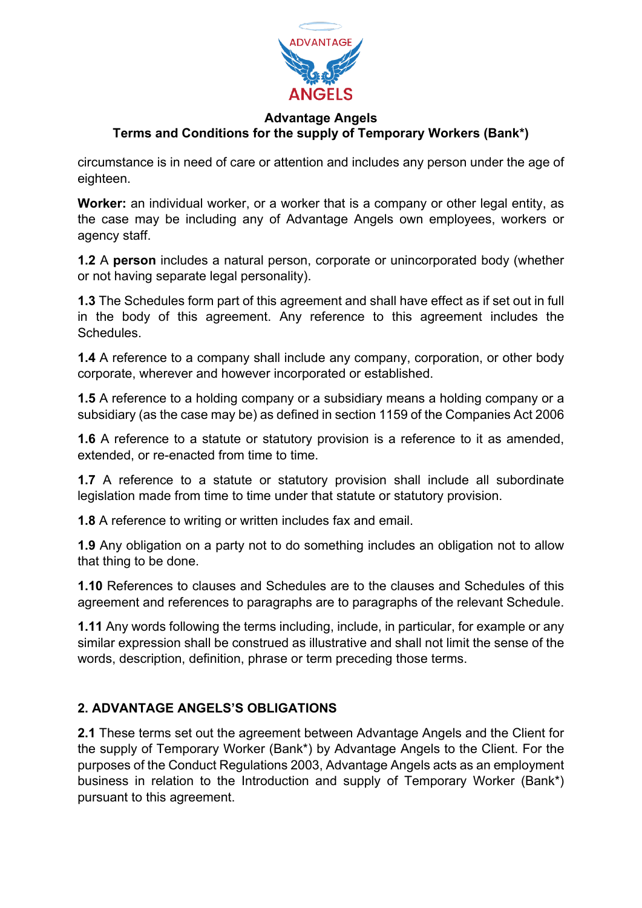

circumstance is in need of care or attention and includes any person under the age of eighteen.

**Worker:** an individual worker, or a worker that is a company or other legal entity, as the case may be including any of Advantage Angels own employees, workers or agency staff.

**1.2** A **person** includes a natural person, corporate or unincorporated body (whether or not having separate legal personality).

**1.3** The Schedules form part of this agreement and shall have effect as if set out in full in the body of this agreement. Any reference to this agreement includes the **Schedules** 

**1.4** A reference to a company shall include any company, corporation, or other body corporate, wherever and however incorporated or established.

**1.5** A reference to a holding company or a subsidiary means a holding company or a subsidiary (as the case may be) as defined in section 1159 of the Companies Act 2006

**1.6** A reference to a statute or statutory provision is a reference to it as amended, extended, or re-enacted from time to time.

**1.7** A reference to a statute or statutory provision shall include all subordinate legislation made from time to time under that statute or statutory provision.

**1.8** A reference to writing or written includes fax and email.

**1.9** Any obligation on a party not to do something includes an obligation not to allow that thing to be done.

**1.10** References to clauses and Schedules are to the clauses and Schedules of this agreement and references to paragraphs are to paragraphs of the relevant Schedule.

**1.11** Any words following the terms including, include, in particular, for example or any similar expression shall be construed as illustrative and shall not limit the sense of the words, description, definition, phrase or term preceding those terms.

# **2. ADVANTAGE ANGELS'S OBLIGATIONS**

**2.1** These terms set out the agreement between Advantage Angels and the Client for the supply of Temporary Worker (Bank\*) by Advantage Angels to the Client. For the purposes of the Conduct Regulations 2003, Advantage Angels acts as an employment business in relation to the Introduction and supply of Temporary Worker (Bank\*) pursuant to this agreement.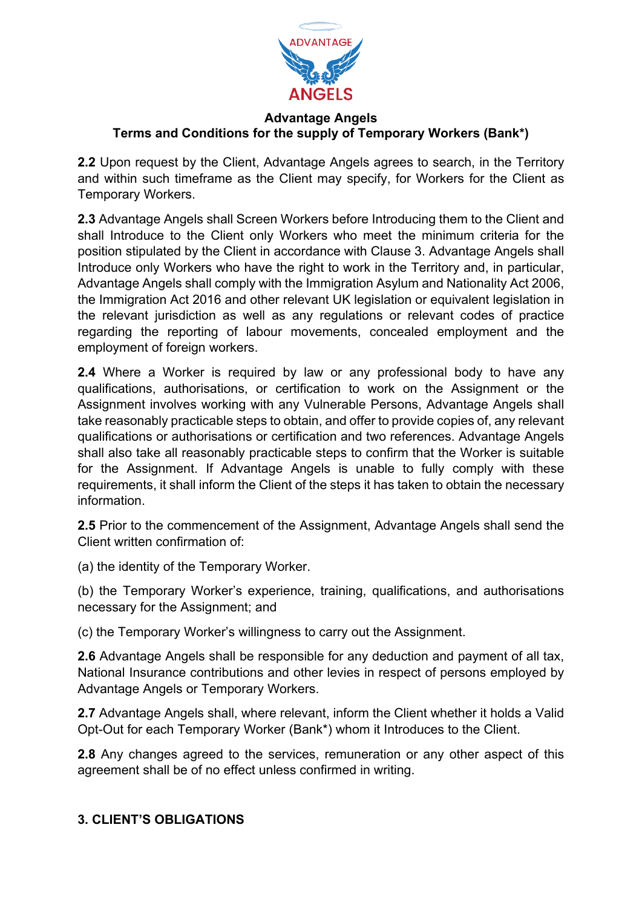

**2.2** Upon request by the Client, Advantage Angels agrees to search, in the Territory and within such timeframe as the Client may specify, for Workers for the Client as Temporary Workers.

**2.3** Advantage Angels shall Screen Workers before Introducing them to the Client and shall Introduce to the Client only Workers who meet the minimum criteria for the position stipulated by the Client in accordance with Clause 3. Advantage Angels shall Introduce only Workers who have the right to work in the Territory and, in particular, Advantage Angels shall comply with the Immigration Asylum and Nationality Act 2006, the Immigration Act 2016 and other relevant UK legislation or equivalent legislation in the relevant jurisdiction as well as any regulations or relevant codes of practice regarding the reporting of labour movements, concealed employment and the employment of foreign workers.

**2.4** Where a Worker is required by law or any professional body to have any qualifications, authorisations, or certification to work on the Assignment or the Assignment involves working with any Vulnerable Persons, Advantage Angels shall take reasonably practicable steps to obtain, and offer to provide copies of, any relevant qualifications or authorisations or certification and two references. Advantage Angels shall also take all reasonably practicable steps to confirm that the Worker is suitable for the Assignment. If Advantage Angels is unable to fully comply with these requirements, it shall inform the Client of the steps it has taken to obtain the necessary information.

**2.5** Prior to the commencement of the Assignment, Advantage Angels shall send the Client written confirmation of:

(a) the identity of the Temporary Worker.

(b) the Temporary Worker's experience, training, qualifications, and authorisations necessary for the Assignment; and

(c) the Temporary Worker's willingness to carry out the Assignment.

**2.6** Advantage Angels shall be responsible for any deduction and payment of all tax, National Insurance contributions and other levies in respect of persons employed by Advantage Angels or Temporary Workers.

**2.7** Advantage Angels shall, where relevant, inform the Client whether it holds a Valid Opt-Out for each Temporary Worker (Bank\*) whom it Introduces to the Client.

**2.8** Any changes agreed to the services, remuneration or any other aspect of this agreement shall be of no effect unless confirmed in writing.

# **3. CLIENT'S OBLIGATIONS**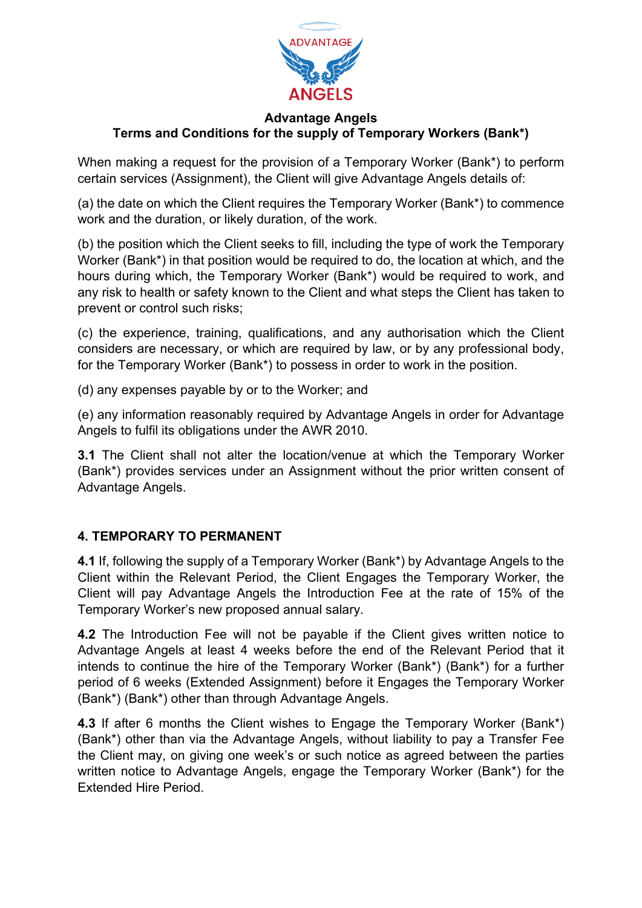

When making a request for the provision of a Temporary Worker (Bank\*) to perform certain services (Assignment), the Client will give Advantage Angels details of:

(a) the date on which the Client requires the Temporary Worker (Bank\*) to commence work and the duration, or likely duration, of the work.

(b) the position which the Client seeks to fill, including the type of work the Temporary Worker (Bank\*) in that position would be required to do, the location at which, and the hours during which, the Temporary Worker (Bank\*) would be required to work, and any risk to health or safety known to the Client and what steps the Client has taken to prevent or control such risks;

(c) the experience, training, qualifications, and any authorisation which the Client considers are necessary, or which are required by law, or by any professional body, for the Temporary Worker (Bank\*) to possess in order to work in the position.

(d) any expenses payable by or to the Worker; and

(e) any information reasonably required by Advantage Angels in order for Advantage Angels to fulfil its obligations under the AWR 2010.

**3.1** The Client shall not alter the location/venue at which the Temporary Worker (Bank\*) provides services under an Assignment without the prior written consent of Advantage Angels.

# **4. TEMPORARY TO PERMANENT**

**4.1** If, following the supply of a Temporary Worker (Bank\*) by Advantage Angels to the Client within the Relevant Period, the Client Engages the Temporary Worker, the Client will pay Advantage Angels the Introduction Fee at the rate of 15% of the Temporary Worker's new proposed annual salary.

**4.2** The Introduction Fee will not be payable if the Client gives written notice to Advantage Angels at least 4 weeks before the end of the Relevant Period that it intends to continue the hire of the Temporary Worker (Bank\*) (Bank\*) for a further period of 6 weeks (Extended Assignment) before it Engages the Temporary Worker (Bank\*) (Bank\*) other than through Advantage Angels.

**4.3** If after 6 months the Client wishes to Engage the Temporary Worker (Bank\*) (Bank\*) other than via the Advantage Angels, without liability to pay a Transfer Fee the Client may, on giving one week's or such notice as agreed between the parties written notice to Advantage Angels, engage the Temporary Worker (Bank\*) for the Extended Hire Period.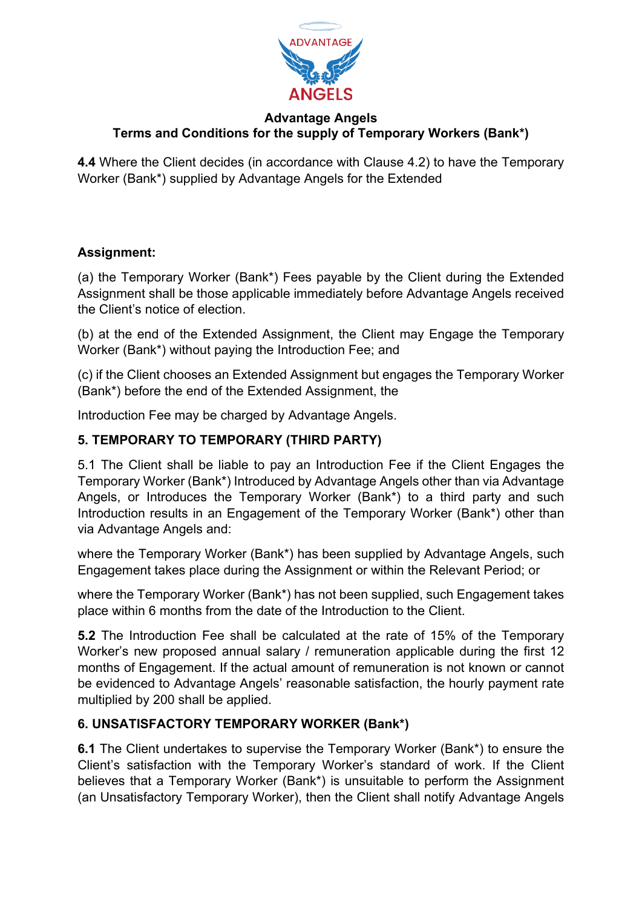

**4.4** Where the Client decides (in accordance with Clause 4.2) to have the Temporary Worker (Bank\*) supplied by Advantage Angels for the Extended

# **Assignment:**

(a) the Temporary Worker (Bank\*) Fees payable by the Client during the Extended Assignment shall be those applicable immediately before Advantage Angels received the Client's notice of election.

(b) at the end of the Extended Assignment, the Client may Engage the Temporary Worker (Bank\*) without paying the Introduction Fee; and

(c) if the Client chooses an Extended Assignment but engages the Temporary Worker (Bank\*) before the end of the Extended Assignment, the

Introduction Fee may be charged by Advantage Angels.

# **5. TEMPORARY TO TEMPORARY (THIRD PARTY)**

5.1 The Client shall be liable to pay an Introduction Fee if the Client Engages the Temporary Worker (Bank\*) Introduced by Advantage Angels other than via Advantage Angels, or Introduces the Temporary Worker (Bank\*) to a third party and such Introduction results in an Engagement of the Temporary Worker (Bank\*) other than via Advantage Angels and:

where the Temporary Worker (Bank\*) has been supplied by Advantage Angels, such Engagement takes place during the Assignment or within the Relevant Period; or

where the Temporary Worker (Bank\*) has not been supplied, such Engagement takes place within 6 months from the date of the Introduction to the Client.

**5.2** The Introduction Fee shall be calculated at the rate of 15% of the Temporary Worker's new proposed annual salary / remuneration applicable during the first 12 months of Engagement. If the actual amount of remuneration is not known or cannot be evidenced to Advantage Angels' reasonable satisfaction, the hourly payment rate multiplied by 200 shall be applied.

# **6. UNSATISFACTORY TEMPORARY WORKER (Bank\*)**

**6.1** The Client undertakes to supervise the Temporary Worker (Bank\*) to ensure the Client's satisfaction with the Temporary Worker's standard of work. If the Client believes that a Temporary Worker (Bank\*) is unsuitable to perform the Assignment (an Unsatisfactory Temporary Worker), then the Client shall notify Advantage Angels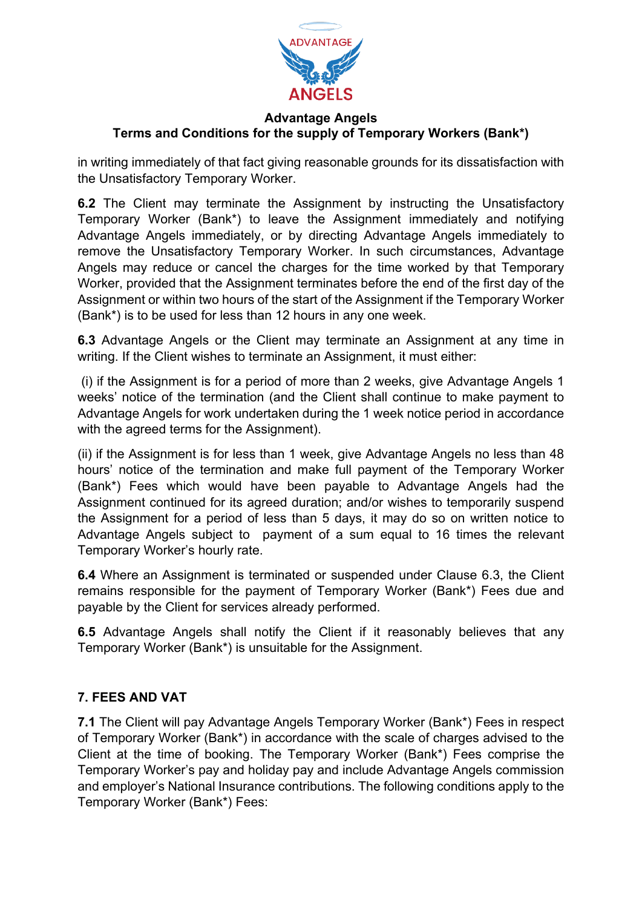

in writing immediately of that fact giving reasonable grounds for its dissatisfaction with the Unsatisfactory Temporary Worker.

**6.2** The Client may terminate the Assignment by instructing the Unsatisfactory Temporary Worker (Bank\*) to leave the Assignment immediately and notifying Advantage Angels immediately, or by directing Advantage Angels immediately to remove the Unsatisfactory Temporary Worker. In such circumstances, Advantage Angels may reduce or cancel the charges for the time worked by that Temporary Worker, provided that the Assignment terminates before the end of the first day of the Assignment or within two hours of the start of the Assignment if the Temporary Worker (Bank\*) is to be used for less than 12 hours in any one week.

**6.3** Advantage Angels or the Client may terminate an Assignment at any time in writing. If the Client wishes to terminate an Assignment, it must either:

(i) if the Assignment is for a period of more than 2 weeks, give Advantage Angels 1 weeks' notice of the termination (and the Client shall continue to make payment to Advantage Angels for work undertaken during the 1 week notice period in accordance with the agreed terms for the Assignment).

(ii) if the Assignment is for less than 1 week, give Advantage Angels no less than 48 hours' notice of the termination and make full payment of the Temporary Worker (Bank\*) Fees which would have been payable to Advantage Angels had the Assignment continued for its agreed duration; and/or wishes to temporarily suspend the Assignment for a period of less than 5 days, it may do so on written notice to Advantage Angels subject to payment of a sum equal to 16 times the relevant Temporary Worker's hourly rate.

**6.4** Where an Assignment is terminated or suspended under Clause 6.3, the Client remains responsible for the payment of Temporary Worker (Bank\*) Fees due and payable by the Client for services already performed.

**6.5** Advantage Angels shall notify the Client if it reasonably believes that any Temporary Worker (Bank\*) is unsuitable for the Assignment.

# **7. FEES AND VAT**

**7.1** The Client will pay Advantage Angels Temporary Worker (Bank\*) Fees in respect of Temporary Worker (Bank\*) in accordance with the scale of charges advised to the Client at the time of booking. The Temporary Worker (Bank\*) Fees comprise the Temporary Worker's pay and holiday pay and include Advantage Angels commission and employer's National Insurance contributions. The following conditions apply to the Temporary Worker (Bank\*) Fees: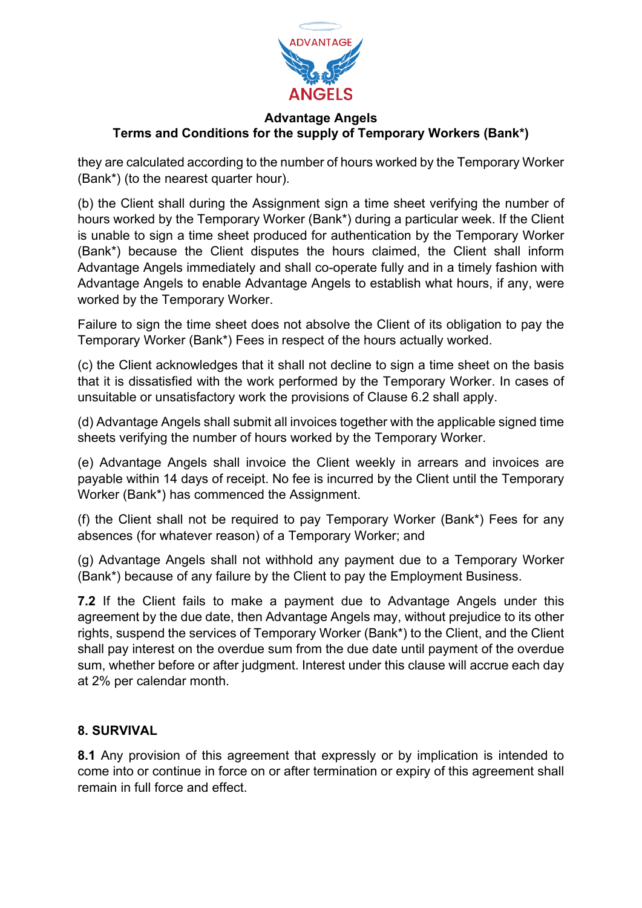

they are calculated according to the number of hours worked by the Temporary Worker (Bank\*) (to the nearest quarter hour).

(b) the Client shall during the Assignment sign a time sheet verifying the number of hours worked by the Temporary Worker (Bank\*) during a particular week. If the Client is unable to sign a time sheet produced for authentication by the Temporary Worker (Bank\*) because the Client disputes the hours claimed, the Client shall inform Advantage Angels immediately and shall co-operate fully and in a timely fashion with Advantage Angels to enable Advantage Angels to establish what hours, if any, were worked by the Temporary Worker.

Failure to sign the time sheet does not absolve the Client of its obligation to pay the Temporary Worker (Bank\*) Fees in respect of the hours actually worked.

(c) the Client acknowledges that it shall not decline to sign a time sheet on the basis that it is dissatisfied with the work performed by the Temporary Worker. In cases of unsuitable or unsatisfactory work the provisions of Clause 6.2 shall apply.

(d) Advantage Angels shall submit all invoices together with the applicable signed time sheets verifying the number of hours worked by the Temporary Worker.

(e) Advantage Angels shall invoice the Client weekly in arrears and invoices are payable within 14 days of receipt. No fee is incurred by the Client until the Temporary Worker (Bank\*) has commenced the Assignment.

(f) the Client shall not be required to pay Temporary Worker (Bank\*) Fees for any absences (for whatever reason) of a Temporary Worker; and

(g) Advantage Angels shall not withhold any payment due to a Temporary Worker (Bank\*) because of any failure by the Client to pay the Employment Business.

**7.2** If the Client fails to make a payment due to Advantage Angels under this agreement by the due date, then Advantage Angels may, without prejudice to its other rights, suspend the services of Temporary Worker (Bank\*) to the Client, and the Client shall pay interest on the overdue sum from the due date until payment of the overdue sum, whether before or after judgment. Interest under this clause will accrue each day at 2% per calendar month.

# **8. SURVIVAL**

**8.1** Any provision of this agreement that expressly or by implication is intended to come into or continue in force on or after termination or expiry of this agreement shall remain in full force and effect.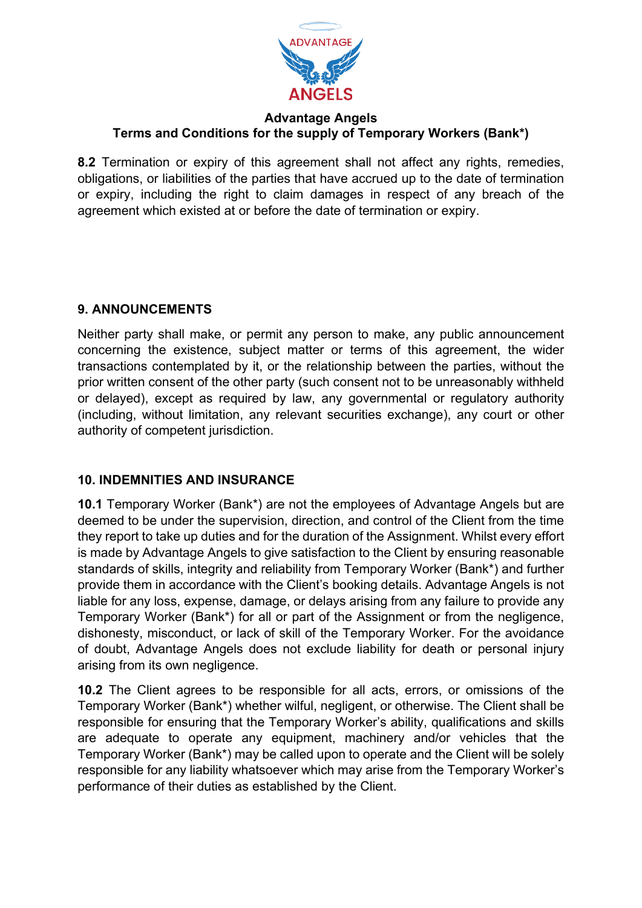

**8.2** Termination or expiry of this agreement shall not affect any rights, remedies, obligations, or liabilities of the parties that have accrued up to the date of termination or expiry, including the right to claim damages in respect of any breach of the agreement which existed at or before the date of termination or expiry.

# **9. ANNOUNCEMENTS**

Neither party shall make, or permit any person to make, any public announcement concerning the existence, subject matter or terms of this agreement, the wider transactions contemplated by it, or the relationship between the parties, without the prior written consent of the other party (such consent not to be unreasonably withheld or delayed), except as required by law, any governmental or regulatory authority (including, without limitation, any relevant securities exchange), any court or other authority of competent jurisdiction.

# **10. INDEMNITIES AND INSURANCE**

**10.1** Temporary Worker (Bank\*) are not the employees of Advantage Angels but are deemed to be under the supervision, direction, and control of the Client from the time they report to take up duties and for the duration of the Assignment. Whilst every effort is made by Advantage Angels to give satisfaction to the Client by ensuring reasonable standards of skills, integrity and reliability from Temporary Worker (Bank\*) and further provide them in accordance with the Client's booking details. Advantage Angels is not liable for any loss, expense, damage, or delays arising from any failure to provide any Temporary Worker (Bank\*) for all or part of the Assignment or from the negligence, dishonesty, misconduct, or lack of skill of the Temporary Worker. For the avoidance of doubt, Advantage Angels does not exclude liability for death or personal injury arising from its own negligence.

**10.2** The Client agrees to be responsible for all acts, errors, or omissions of the Temporary Worker (Bank\*) whether wilful, negligent, or otherwise. The Client shall be responsible for ensuring that the Temporary Worker's ability, qualifications and skills are adequate to operate any equipment, machinery and/or vehicles that the Temporary Worker (Bank\*) may be called upon to operate and the Client will be solely responsible for any liability whatsoever which may arise from the Temporary Worker's performance of their duties as established by the Client.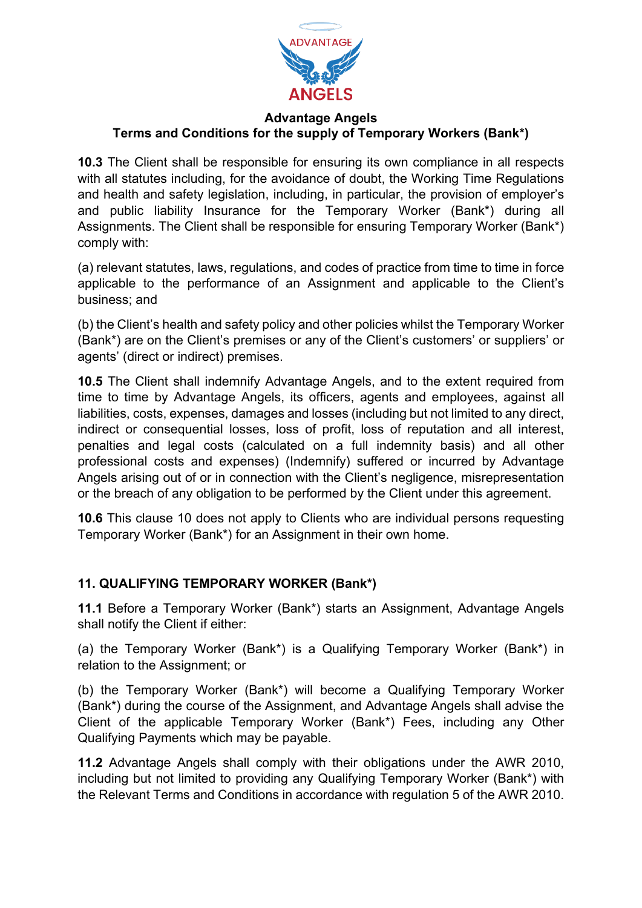

**10.3** The Client shall be responsible for ensuring its own compliance in all respects with all statutes including, for the avoidance of doubt, the Working Time Regulations and health and safety legislation, including, in particular, the provision of employer's and public liability Insurance for the Temporary Worker (Bank\*) during all Assignments. The Client shall be responsible for ensuring Temporary Worker (Bank\*) comply with:

(a) relevant statutes, laws, regulations, and codes of practice from time to time in force applicable to the performance of an Assignment and applicable to the Client's business; and

(b) the Client's health and safety policy and other policies whilst the Temporary Worker (Bank\*) are on the Client's premises or any of the Client's customers' or suppliers' or agents' (direct or indirect) premises.

**10.5** The Client shall indemnify Advantage Angels, and to the extent required from time to time by Advantage Angels, its officers, agents and employees, against all liabilities, costs, expenses, damages and losses (including but not limited to any direct, indirect or consequential losses, loss of profit, loss of reputation and all interest, penalties and legal costs (calculated on a full indemnity basis) and all other professional costs and expenses) (Indemnify) suffered or incurred by Advantage Angels arising out of or in connection with the Client's negligence, misrepresentation or the breach of any obligation to be performed by the Client under this agreement.

**10.6** This clause 10 does not apply to Clients who are individual persons requesting Temporary Worker (Bank\*) for an Assignment in their own home.

# **11. QUALIFYING TEMPORARY WORKER (Bank\*)**

**11.1** Before a Temporary Worker (Bank\*) starts an Assignment, Advantage Angels shall notify the Client if either:

(a) the Temporary Worker (Bank\*) is a Qualifying Temporary Worker (Bank\*) in relation to the Assignment; or

(b) the Temporary Worker (Bank\*) will become a Qualifying Temporary Worker (Bank\*) during the course of the Assignment, and Advantage Angels shall advise the Client of the applicable Temporary Worker (Bank\*) Fees, including any Other Qualifying Payments which may be payable.

**11.2** Advantage Angels shall comply with their obligations under the AWR 2010, including but not limited to providing any Qualifying Temporary Worker (Bank\*) with the Relevant Terms and Conditions in accordance with regulation 5 of the AWR 2010.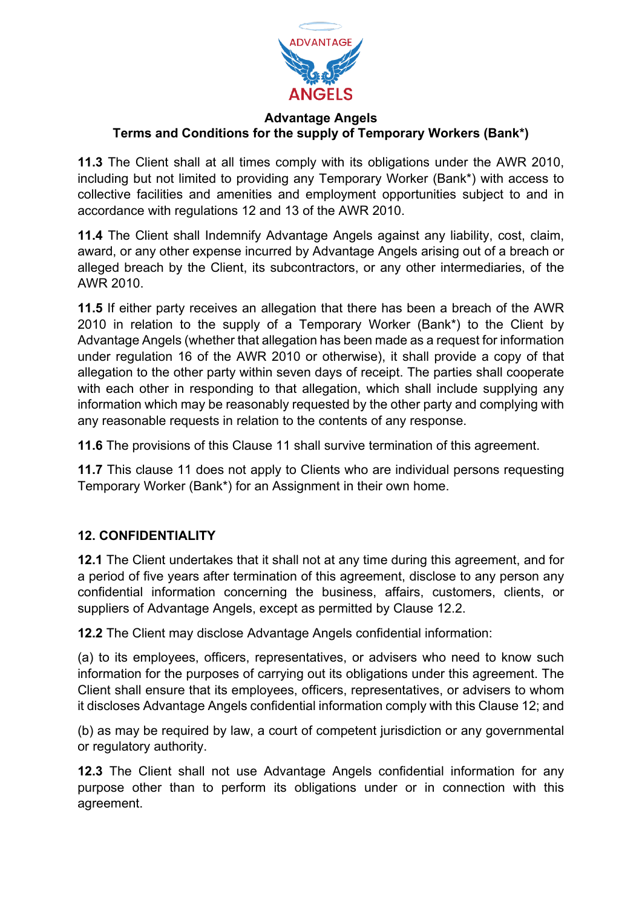

**11.3** The Client shall at all times comply with its obligations under the AWR 2010, including but not limited to providing any Temporary Worker (Bank\*) with access to collective facilities and amenities and employment opportunities subject to and in accordance with regulations 12 and 13 of the AWR 2010.

**11.4** The Client shall Indemnify Advantage Angels against any liability, cost, claim, award, or any other expense incurred by Advantage Angels arising out of a breach or alleged breach by the Client, its subcontractors, or any other intermediaries, of the AWR 2010.

**11.5** If either party receives an allegation that there has been a breach of the AWR 2010 in relation to the supply of a Temporary Worker (Bank\*) to the Client by Advantage Angels (whether that allegation has been made as a request for information under regulation 16 of the AWR 2010 or otherwise), it shall provide a copy of that allegation to the other party within seven days of receipt. The parties shall cooperate with each other in responding to that allegation, which shall include supplying any information which may be reasonably requested by the other party and complying with any reasonable requests in relation to the contents of any response.

**11.6** The provisions of this Clause 11 shall survive termination of this agreement.

**11.7** This clause 11 does not apply to Clients who are individual persons requesting Temporary Worker (Bank\*) for an Assignment in their own home.

# **12. CONFIDENTIALITY**

**12.1** The Client undertakes that it shall not at any time during this agreement, and for a period of five years after termination of this agreement, disclose to any person any confidential information concerning the business, affairs, customers, clients, or suppliers of Advantage Angels, except as permitted by Clause 12.2.

**12.2** The Client may disclose Advantage Angels confidential information:

(a) to its employees, officers, representatives, or advisers who need to know such information for the purposes of carrying out its obligations under this agreement. The Client shall ensure that its employees, officers, representatives, or advisers to whom it discloses Advantage Angels confidential information comply with this Clause 12; and

(b) as may be required by law, a court of competent jurisdiction or any governmental or regulatory authority.

**12.3** The Client shall not use Advantage Angels confidential information for any purpose other than to perform its obligations under or in connection with this agreement.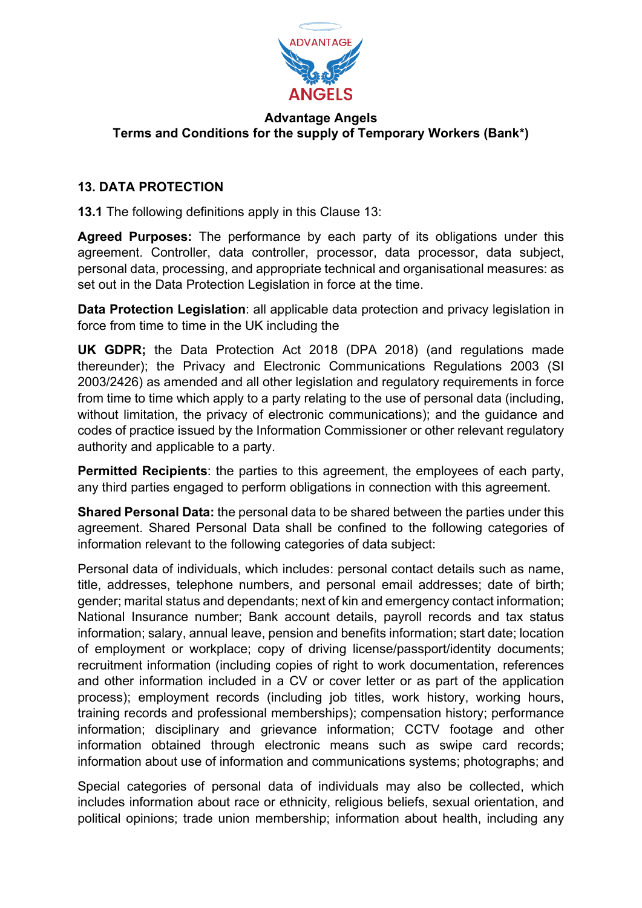

# **13. DATA PROTECTION**

**13.1** The following definitions apply in this Clause 13:

**Agreed Purposes:** The performance by each party of its obligations under this agreement. Controller, data controller, processor, data processor, data subject, personal data, processing, and appropriate technical and organisational measures: as set out in the Data Protection Legislation in force at the time.

**Data Protection Legislation**: all applicable data protection and privacy legislation in force from time to time in the UK including the

**UK GDPR;** the Data Protection Act 2018 (DPA 2018) (and regulations made thereunder); the Privacy and Electronic Communications Regulations 2003 (SI 2003/2426) as amended and all other legislation and regulatory requirements in force from time to time which apply to a party relating to the use of personal data (including, without limitation, the privacy of electronic communications); and the guidance and codes of practice issued by the Information Commissioner or other relevant regulatory authority and applicable to a party.

**Permitted Recipients**: the parties to this agreement, the employees of each party, any third parties engaged to perform obligations in connection with this agreement.

**Shared Personal Data:** the personal data to be shared between the parties under this agreement. Shared Personal Data shall be confined to the following categories of information relevant to the following categories of data subject:

Personal data of individuals, which includes: personal contact details such as name, title, addresses, telephone numbers, and personal email addresses; date of birth; gender; marital status and dependants; next of kin and emergency contact information; National Insurance number; Bank account details, payroll records and tax status information; salary, annual leave, pension and benefits information; start date; location of employment or workplace; copy of driving license/passport/identity documents; recruitment information (including copies of right to work documentation, references and other information included in a CV or cover letter or as part of the application process); employment records (including job titles, work history, working hours, training records and professional memberships); compensation history; performance information; disciplinary and grievance information; CCTV footage and other information obtained through electronic means such as swipe card records; information about use of information and communications systems; photographs; and

Special categories of personal data of individuals may also be collected, which includes information about race or ethnicity, religious beliefs, sexual orientation, and political opinions; trade union membership; information about health, including any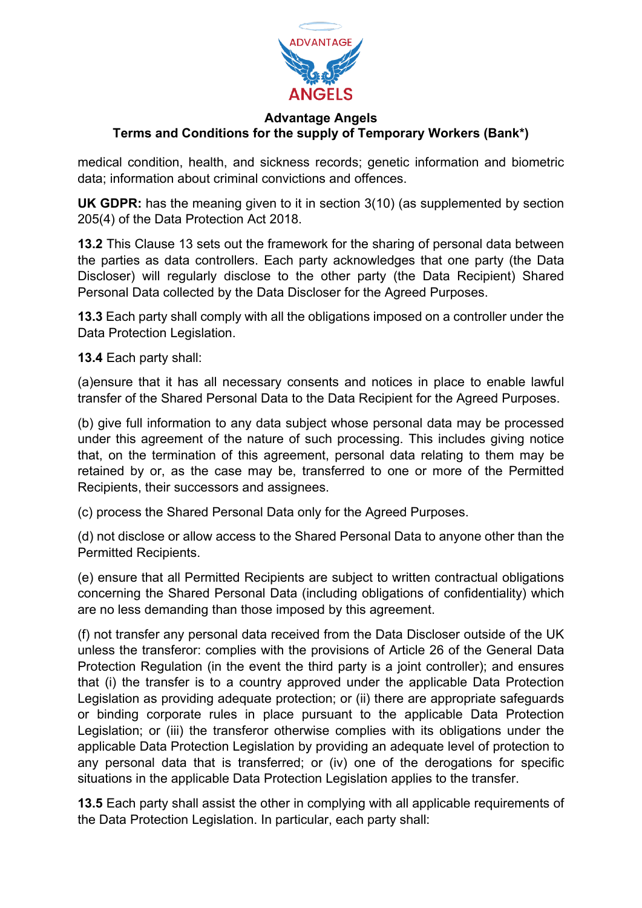

medical condition, health, and sickness records; genetic information and biometric data; information about criminal convictions and offences.

**UK GDPR:** has the meaning given to it in section 3(10) (as supplemented by section 205(4) of the Data Protection Act 2018.

**13.2** This Clause 13 sets out the framework for the sharing of personal data between the parties as data controllers. Each party acknowledges that one party (the Data Discloser) will regularly disclose to the other party (the Data Recipient) Shared Personal Data collected by the Data Discloser for the Agreed Purposes.

**13.3** Each party shall comply with all the obligations imposed on a controller under the Data Protection Legislation.

**13.4** Each party shall:

(a)ensure that it has all necessary consents and notices in place to enable lawful transfer of the Shared Personal Data to the Data Recipient for the Agreed Purposes.

(b) give full information to any data subject whose personal data may be processed under this agreement of the nature of such processing. This includes giving notice that, on the termination of this agreement, personal data relating to them may be retained by or, as the case may be, transferred to one or more of the Permitted Recipients, their successors and assignees.

(c) process the Shared Personal Data only for the Agreed Purposes.

(d) not disclose or allow access to the Shared Personal Data to anyone other than the Permitted Recipients.

(e) ensure that all Permitted Recipients are subject to written contractual obligations concerning the Shared Personal Data (including obligations of confidentiality) which are no less demanding than those imposed by this agreement.

(f) not transfer any personal data received from the Data Discloser outside of the UK unless the transferor: complies with the provisions of Article 26 of the General Data Protection Regulation (in the event the third party is a joint controller); and ensures that (i) the transfer is to a country approved under the applicable Data Protection Legislation as providing adequate protection; or (ii) there are appropriate safeguards or binding corporate rules in place pursuant to the applicable Data Protection Legislation; or (iii) the transferor otherwise complies with its obligations under the applicable Data Protection Legislation by providing an adequate level of protection to any personal data that is transferred; or (iv) one of the derogations for specific situations in the applicable Data Protection Legislation applies to the transfer.

**13.5** Each party shall assist the other in complying with all applicable requirements of the Data Protection Legislation. In particular, each party shall: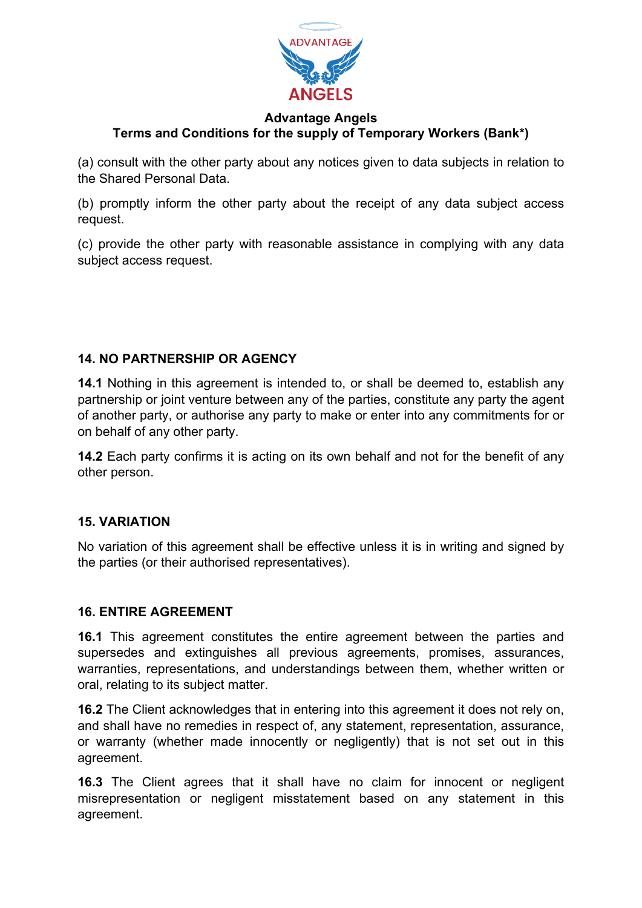

(a) consult with the other party about any notices given to data subjects in relation to the Shared Personal Data.

(b) promptly inform the other party about the receipt of any data subject access request.

(c) provide the other party with reasonable assistance in complying with any data subject access request.

# **14. NO PARTNERSHIP OR AGENCY**

**14.1** Nothing in this agreement is intended to, or shall be deemed to, establish any partnership or joint venture between any of the parties, constitute any party the agent of another party, or authorise any party to make or enter into any commitments for or on behalf of any other party.

**14.2** Each party confirms it is acting on its own behalf and not for the benefit of any other person.

# **15. VARIATION**

No variation of this agreement shall be effective unless it is in writing and signed by the parties (or their authorised representatives).

#### **16. ENTIRE AGREEMENT**

**16.1** This agreement constitutes the entire agreement between the parties and supersedes and extinguishes all previous agreements, promises, assurances, warranties, representations, and understandings between them, whether written or oral, relating to its subject matter.

**16.2** The Client acknowledges that in entering into this agreement it does not rely on, and shall have no remedies in respect of, any statement, representation, assurance, or warranty (whether made innocently or negligently) that is not set out in this agreement.

**16.3** The Client agrees that it shall have no claim for innocent or negligent misrepresentation or negligent misstatement based on any statement in this agreement.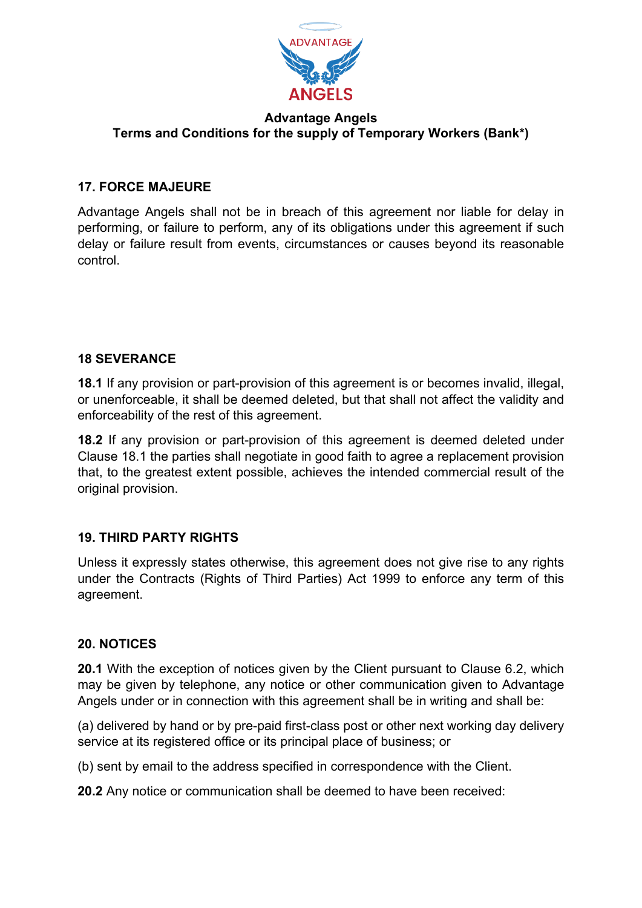

### **17. FORCE MAJEURE**

Advantage Angels shall not be in breach of this agreement nor liable for delay in performing, or failure to perform, any of its obligations under this agreement if such delay or failure result from events, circumstances or causes beyond its reasonable control.

#### **18 SEVERANCE**

**18.1** If any provision or part-provision of this agreement is or becomes invalid, illegal, or unenforceable, it shall be deemed deleted, but that shall not affect the validity and enforceability of the rest of this agreement.

**18.2** If any provision or part-provision of this agreement is deemed deleted under Clause 18.1 the parties shall negotiate in good faith to agree a replacement provision that, to the greatest extent possible, achieves the intended commercial result of the original provision.

# **19. THIRD PARTY RIGHTS**

Unless it expressly states otherwise, this agreement does not give rise to any rights under the Contracts (Rights of Third Parties) Act 1999 to enforce any term of this agreement.

#### **20. NOTICES**

**20.1** With the exception of notices given by the Client pursuant to Clause 6.2, which may be given by telephone, any notice or other communication given to Advantage Angels under or in connection with this agreement shall be in writing and shall be:

(a) delivered by hand or by pre-paid first-class post or other next working day delivery service at its registered office or its principal place of business; or

(b) sent by email to the address specified in correspondence with the Client.

**20.2** Any notice or communication shall be deemed to have been received: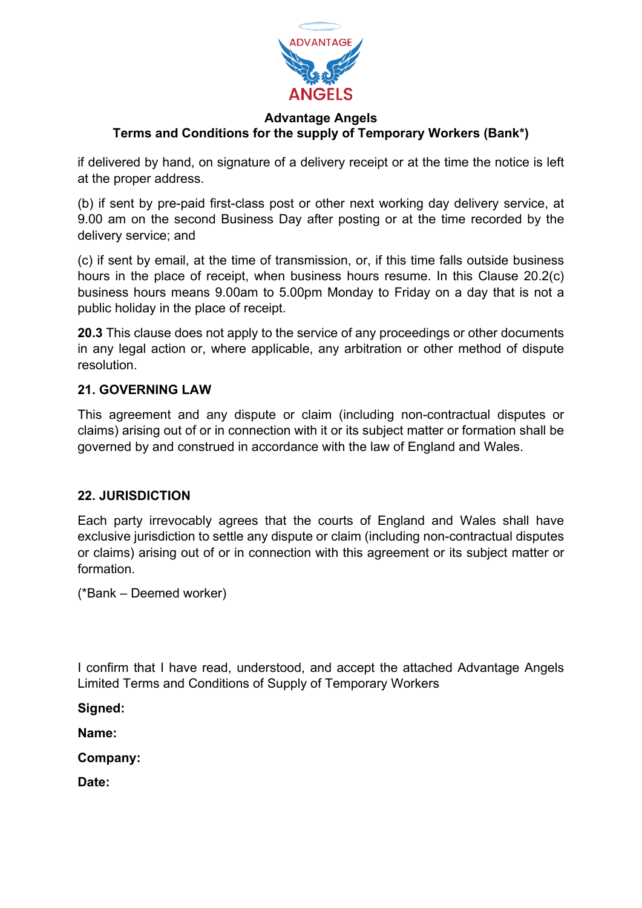

if delivered by hand, on signature of a delivery receipt or at the time the notice is left at the proper address.

(b) if sent by pre-paid first-class post or other next working day delivery service, at 9.00 am on the second Business Day after posting or at the time recorded by the delivery service; and

(c) if sent by email, at the time of transmission, or, if this time falls outside business hours in the place of receipt, when business hours resume. In this Clause 20.2(c) business hours means 9.00am to 5.00pm Monday to Friday on a day that is not a public holiday in the place of receipt.

**20.3** This clause does not apply to the service of any proceedings or other documents in any legal action or, where applicable, any arbitration or other method of dispute resolution.

# **21. GOVERNING LAW**

This agreement and any dispute or claim (including non-contractual disputes or claims) arising out of or in connection with it or its subject matter or formation shall be governed by and construed in accordance with the law of England and Wales.

# **22. JURISDICTION**

Each party irrevocably agrees that the courts of England and Wales shall have exclusive jurisdiction to settle any dispute or claim (including non-contractual disputes or claims) arising out of or in connection with this agreement or its subject matter or formation.

(\*Bank – Deemed worker)

I confirm that I have read, understood, and accept the attached Advantage Angels Limited Terms and Conditions of Supply of Temporary Workers

**Signed:**

**Name:**

**Company:**

**Date:**